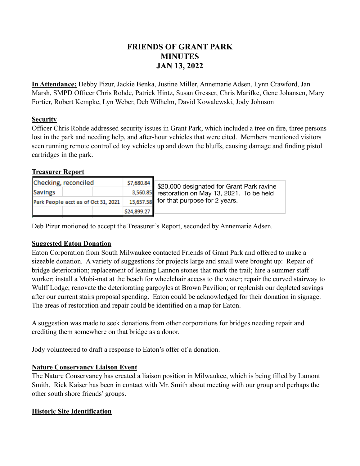# **FRIENDS OF GRANT PARK MINUTES JAN 13, 2022**

**In Attendance:** Debby Pizur, Jackie Benka, Justine Miller, Annemarie Adsen, Lynn Crawford, Jan Marsh, SMPD Officer Chris Rohde, Patrick Hintz, Susan Gresser, Chris Marifke, Gene Johansen, Mary Fortier, Robert Kempke, Lyn Weber, Deb Wilhelm, David Kowalewski, Jody Johnson

## **Security**

Officer Chris Rohde addressed security issues in Grant Park, which included a tree on fire, three persons lost in the park and needing help, and after-hour vehicles that were cited. Members mentioned visitors seen running remote controlled toy vehicles up and down the bluffs, causing damage and finding pistol cartridges in the park.

## **Treasurer Report**

| Checking, reconciled                |             | $\frac{$7,680.84}{$20,000}$ designated for Grant Park ravine |
|-------------------------------------|-------------|--------------------------------------------------------------|
| Savings                             |             | 3,560.85 restoration on May 13, 2021. To be held             |
| Park People acct as of Oct 31, 2021 |             | 13,657.58 for that purpose for 2 years.                      |
|                                     | \$24,899.27 |                                                              |

Deb Pizur motioned to accept the Treasurer's Report, seconded by Annemarie Adsen.

#### **Suggested Eaton Donation**

Eaton Corporation from South Milwaukee contacted Friends of Grant Park and offered to make a sizeable donation. A variety of suggestions for projects large and small were brought up: Repair of bridge deterioration; replacement of leaning Lannon stones that mark the trail; hire a summer staff worker; install a Mobi-mat at the beach for wheelchair access to the water; repair the curved stairway to Wulff Lodge; renovate the deteriorating gargoyles at Brown Pavilion; or replenish our depleted savings after our current stairs proposal spending. Eaton could be acknowledged for their donation in signage. The areas of restoration and repair could be identified on a map for Eaton.

A suggestion was made to seek donations from other corporations for bridges needing repair and crediting them somewhere on that bridge as a donor.

Jody volunteered to draft a response to Eaton's offer of a donation.

# **Nature Conservancy Liaison Event**

The Nature Conservancy has created a liaison position in Milwaukee, which is being filled by Lamont Smith. Rick Kaiser has been in contact with Mr. Smith about meeting with our group and perhaps the other south shore friends' groups.

# **Historic Site Identification**